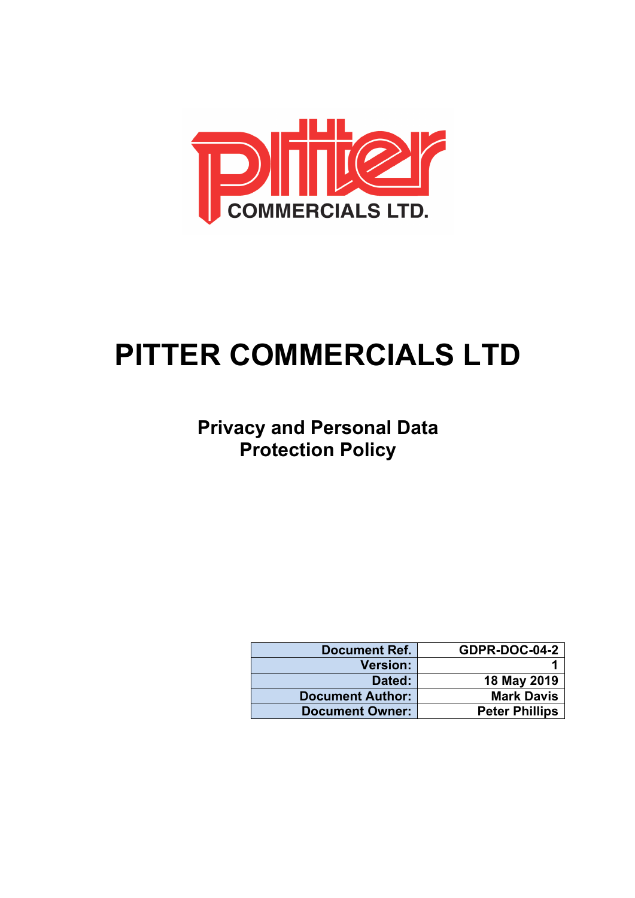

# **PITTER COMMERCIALS LTD**

## **Privacy and Personal Data Protection Policy**

| <b>Document Ref.</b>    | <b>GDPR-DOC-04-2</b>  |
|-------------------------|-----------------------|
| <b>Version:</b>         |                       |
| Dated:                  | 18 May 2019           |
| <b>Document Author:</b> | <b>Mark Davis</b>     |
| <b>Document Owner:</b>  | <b>Peter Phillips</b> |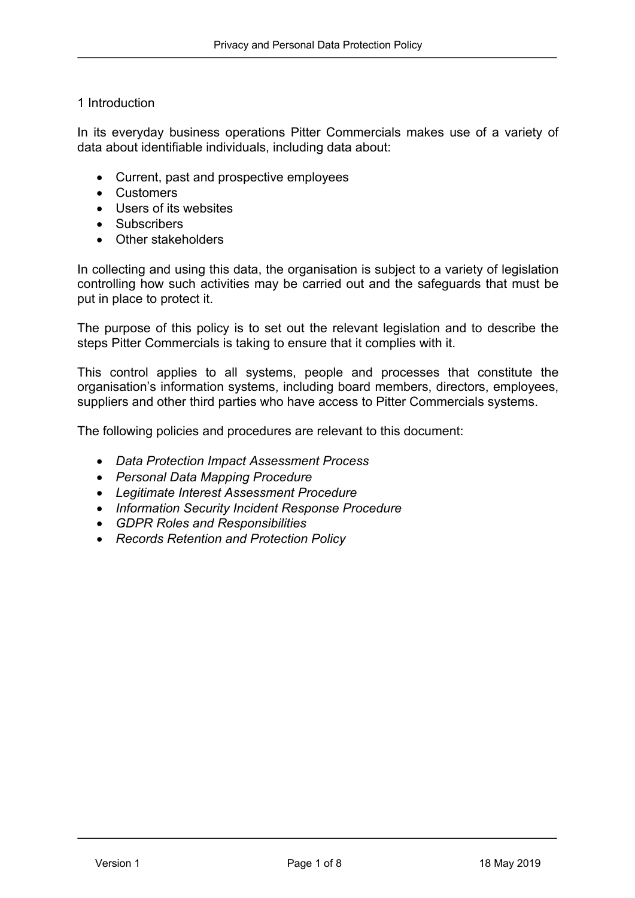#### 1 Introduction

In its everyday business operations Pitter Commercials makes use of a variety of data about identifiable individuals, including data about:

- Current, past and prospective employees
- Customers
- Users of its websites
- Subscribers
- Other stakeholders

In collecting and using this data, the organisation is subject to a variety of legislation controlling how such activities may be carried out and the safeguards that must be put in place to protect it.

The purpose of this policy is to set out the relevant legislation and to describe the steps Pitter Commercials is taking to ensure that it complies with it.

This control applies to all systems, people and processes that constitute the organisation's information systems, including board members, directors, employees, suppliers and other third parties who have access to Pitter Commercials systems.

The following policies and procedures are relevant to this document:

- *Data Protection Impact Assessment Process*
- *Personal Data Mapping Procedure*
- *Legitimate Interest Assessment Procedure*
- *Information Security Incident Response Procedure*
- *GDPR Roles and Responsibilities*
- *Records Retention and Protection Policy*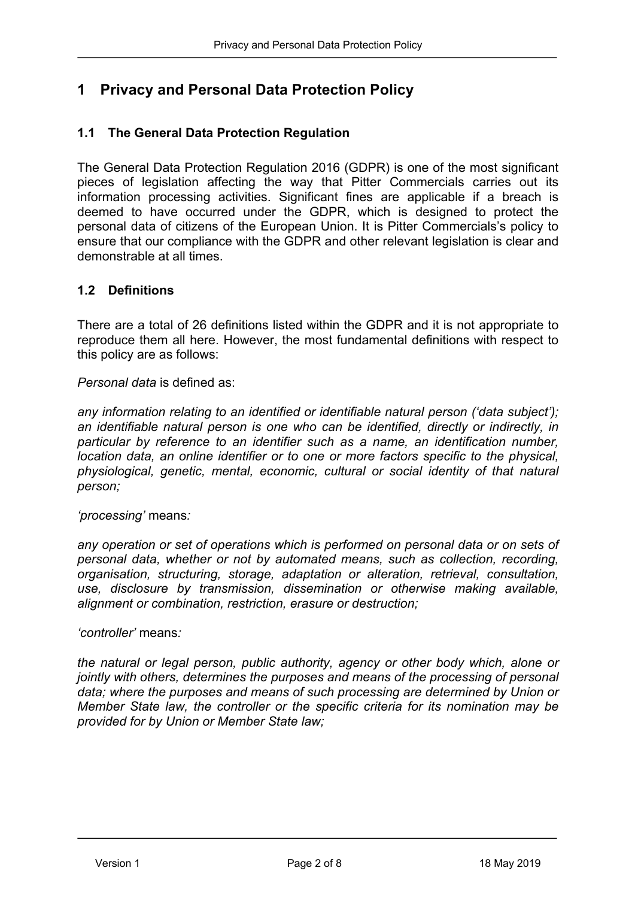### **1 Privacy and Personal Data Protection Policy**

#### **1.1 The General Data Protection Regulation**

The General Data Protection Regulation 2016 (GDPR) is one of the most significant pieces of legislation affecting the way that Pitter Commercials carries out its information processing activities. Significant fines are applicable if a breach is deemed to have occurred under the GDPR, which is designed to protect the personal data of citizens of the European Union. It is Pitter Commercials's policy to ensure that our compliance with the GDPR and other relevant legislation is clear and demonstrable at all times.

#### **1.2 Definitions**

There are a total of 26 definitions listed within the GDPR and it is not appropriate to reproduce them all here. However, the most fundamental definitions with respect to this policy are as follows:

*Personal data* is defined as:

*any information relating to an identified or identifiable natural person ('data subject'); an identifiable natural person is one who can be identified, directly or indirectly, in particular by reference to an identifier such as a name, an identification number, location data, an online identifier or to one or more factors specific to the physical, physiological, genetic, mental, economic, cultural or social identity of that natural person;*

*'processing'* means*:*

*any operation or set of operations which is performed on personal data or on sets of personal data, whether or not by automated means, such as collection, recording, organisation, structuring, storage, adaptation or alteration, retrieval, consultation, use, disclosure by transmission, dissemination or otherwise making available, alignment or combination, restriction, erasure or destruction;*

*'controller'* means*:*

*the natural or legal person, public authority, agency or other body which, alone or jointly with others, determines the purposes and means of the processing of personal data; where the purposes and means of such processing are determined by Union or Member State law, the controller or the specific criteria for its nomination may be provided for by Union or Member State law;*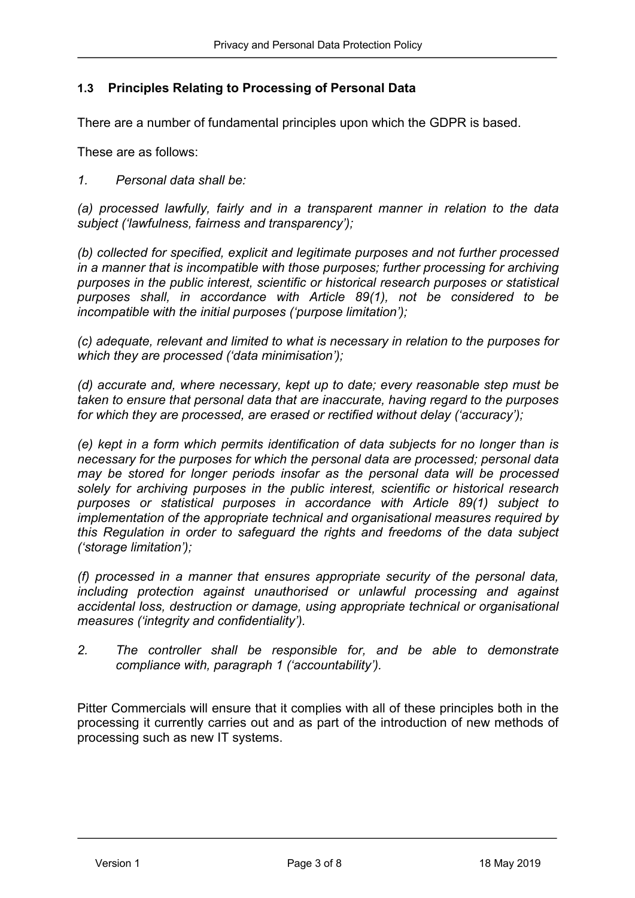#### **1.3 Principles Relating to Processing of Personal Data**

There are a number of fundamental principles upon which the GDPR is based.

These are as follows:

*1. Personal data shall be:*

*(a) processed lawfully, fairly and in a transparent manner in relation to the data subject ('lawfulness, fairness and transparency');*

*(b) collected for specified, explicit and legitimate purposes and not further processed in a manner that is incompatible with those purposes; further processing for archiving purposes in the public interest, scientific or historical research purposes or statistical purposes shall, in accordance with Article 89(1), not be considered to be incompatible with the initial purposes ('purpose limitation');*

*(c) adequate, relevant and limited to what is necessary in relation to the purposes for which they are processed ('data minimisation');*

*(d) accurate and, where necessary, kept up to date; every reasonable step must be taken to ensure that personal data that are inaccurate, having regard to the purposes for which they are processed, are erased or rectified without delay ('accuracy');*

*(e) kept in a form which permits identification of data subjects for no longer than is necessary for the purposes for which the personal data are processed; personal data may be stored for longer periods insofar as the personal data will be processed solely for archiving purposes in the public interest, scientific or historical research purposes or statistical purposes in accordance with Article 89(1) subject to implementation of the appropriate technical and organisational measures required by this Regulation in order to safeguard the rights and freedoms of the data subject ('storage limitation');*

*(f) processed in a manner that ensures appropriate security of the personal data, including protection against unauthorised or unlawful processing and against accidental loss, destruction or damage, using appropriate technical or organisational measures ('integrity and confidentiality').*

*2. The controller shall be responsible for, and be able to demonstrate compliance with, paragraph 1 ('accountability').*

Pitter Commercials will ensure that it complies with all of these principles both in the processing it currently carries out and as part of the introduction of new methods of processing such as new IT systems.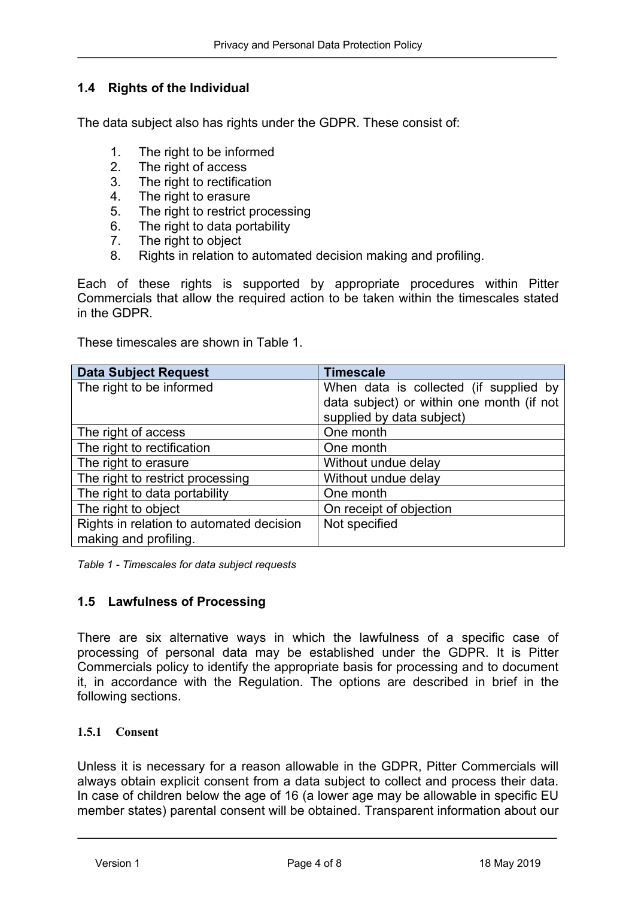#### **1.4 Rights of the Individual**

The data subject also has rights under the GDPR. These consist of:

- 1. The right to be informed
- 2. The right of access
- 3. The right to rectification
- 4. The right to erasure
- 5. The right to restrict processing
- 6. The right to data portability
- 7. The right to object
- 8. Rights in relation to automated decision making and profiling.

Each of these rights is supported by appropriate procedures within Pitter Commercials that allow the required action to be taken within the timescales stated in the GDPR.

These timescales are shown in Table 1.

| <b>Data Subject Request</b>              | <b>Timescale</b>                          |
|------------------------------------------|-------------------------------------------|
| The right to be informed                 | When data is collected (if supplied by    |
|                                          | data subject) or within one month (if not |
|                                          | supplied by data subject)                 |
| The right of access                      | One month                                 |
| The right to rectification               | One month                                 |
| The right to erasure                     | Without undue delay                       |
| The right to restrict processing         | Without undue delay                       |
| The right to data portability            | One month                                 |
| The right to object                      | On receipt of objection                   |
| Rights in relation to automated decision | Not specified                             |
| making and profiling.                    |                                           |

*Table 1 - Timescales for data subject requests*

#### **1.5 Lawfulness of Processing**

There are six alternative ways in which the lawfulness of a specific case of processing of personal data may be established under the GDPR. It is Pitter Commercials policy to identify the appropriate basis for processing and to document it, in accordance with the Regulation. The options are described in brief in the following sections.

#### **1.5.1 Consent**

Unless it is necessary for a reason allowable in the GDPR, Pitter Commercials will always obtain explicit consent from a data subject to collect and process their data. In case of children below the age of 16 (a lower age may be allowable in specific EU member states) parental consent will be obtained. Transparent information about our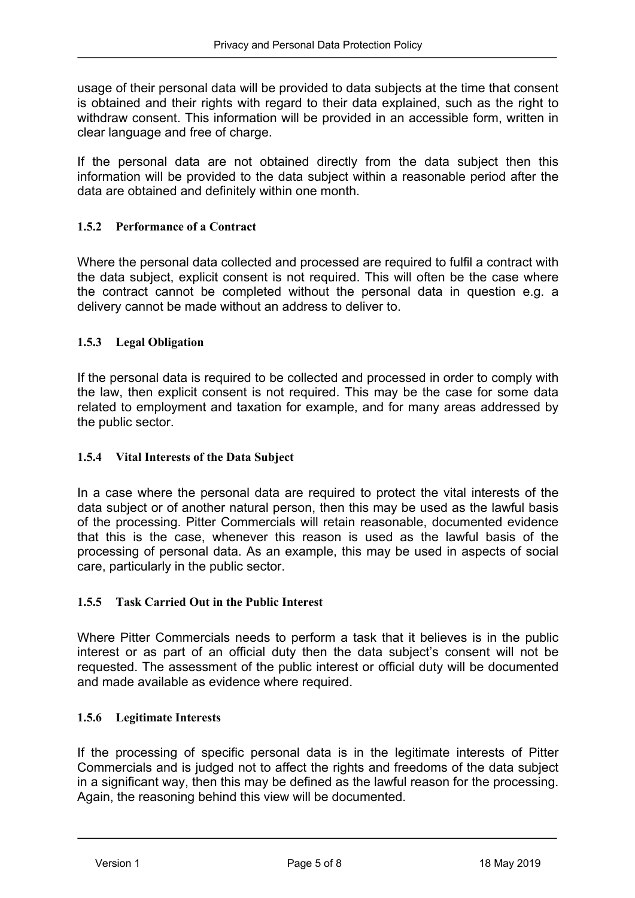usage of their personal data will be provided to data subjects at the time that consent is obtained and their rights with regard to their data explained, such as the right to withdraw consent. This information will be provided in an accessible form, written in clear language and free of charge.

If the personal data are not obtained directly from the data subject then this information will be provided to the data subject within a reasonable period after the data are obtained and definitely within one month.

#### **1.5.2 Performance of a Contract**

Where the personal data collected and processed are required to fulfil a contract with the data subject, explicit consent is not required. This will often be the case where the contract cannot be completed without the personal data in question e.g. a delivery cannot be made without an address to deliver to.

#### **1.5.3 Legal Obligation**

If the personal data is required to be collected and processed in order to comply with the law, then explicit consent is not required. This may be the case for some data related to employment and taxation for example, and for many areas addressed by the public sector.

#### **1.5.4 Vital Interests of the Data Subject**

In a case where the personal data are required to protect the vital interests of the data subject or of another natural person, then this may be used as the lawful basis of the processing. Pitter Commercials will retain reasonable, documented evidence that this is the case, whenever this reason is used as the lawful basis of the processing of personal data. As an example, this may be used in aspects of social care, particularly in the public sector.

#### **1.5.5 Task Carried Out in the Public Interest**

Where Pitter Commercials needs to perform a task that it believes is in the public interest or as part of an official duty then the data subject's consent will not be requested. The assessment of the public interest or official duty will be documented and made available as evidence where required.

#### **1.5.6 Legitimate Interests**

If the processing of specific personal data is in the legitimate interests of Pitter Commercials and is judged not to affect the rights and freedoms of the data subject in a significant way, then this may be defined as the lawful reason for the processing. Again, the reasoning behind this view will be documented.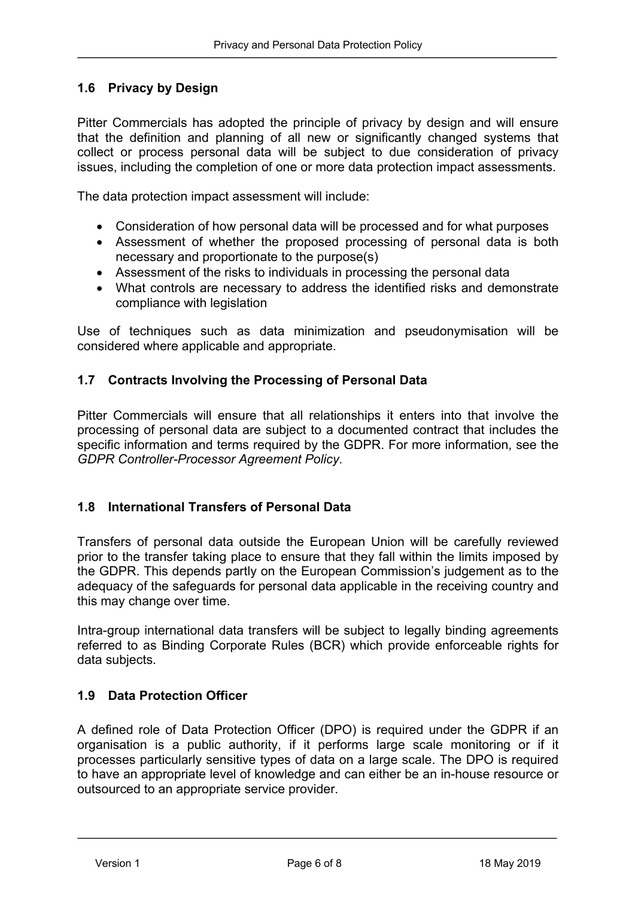#### **1.6 Privacy by Design**

Pitter Commercials has adopted the principle of privacy by design and will ensure that the definition and planning of all new or significantly changed systems that collect or process personal data will be subject to due consideration of privacy issues, including the completion of one or more data protection impact assessments.

The data protection impact assessment will include:

- Consideration of how personal data will be processed and for what purposes
- Assessment of whether the proposed processing of personal data is both necessary and proportionate to the purpose(s)
- Assessment of the risks to individuals in processing the personal data
- What controls are necessary to address the identified risks and demonstrate compliance with legislation

Use of techniques such as data minimization and pseudonymisation will be considered where applicable and appropriate.

#### **1.7 Contracts Involving the Processing of Personal Data**

Pitter Commercials will ensure that all relationships it enters into that involve the processing of personal data are subject to a documented contract that includes the specific information and terms required by the GDPR. For more information, see the *GDPR Controller-Processor Agreement Policy*.

#### **1.8 International Transfers of Personal Data**

Transfers of personal data outside the European Union will be carefully reviewed prior to the transfer taking place to ensure that they fall within the limits imposed by the GDPR. This depends partly on the European Commission's judgement as to the adequacy of the safeguards for personal data applicable in the receiving country and this may change over time.

Intra-group international data transfers will be subject to legally binding agreements referred to as Binding Corporate Rules (BCR) which provide enforceable rights for data subjects.

#### **1.9 Data Protection Officer**

A defined role of Data Protection Officer (DPO) is required under the GDPR if an organisation is a public authority, if it performs large scale monitoring or if it processes particularly sensitive types of data on a large scale. The DPO is required to have an appropriate level of knowledge and can either be an in-house resource or outsourced to an appropriate service provider.